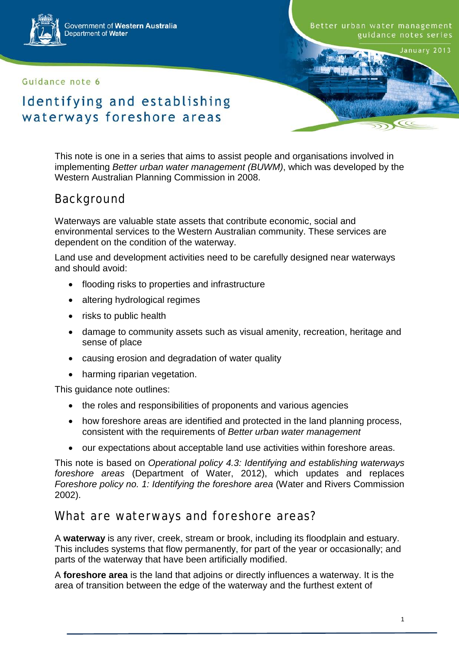

Government of Western Australia Department of Water

#### Guidance note 6

Better urban water management guidance notes series

January 2013

 $\subset$ 

# Identifying and establishing waterways foreshore areas

This note is one in a series that aims to assist people and organisations involved in implementing *Better urban water management (BUWM)*, which was developed by the Western Australian Planning Commission in 2008.

## Background

Waterways are valuable state assets that contribute economic, social and environmental services to the Western Australian community. These services are dependent on the condition of the waterway.

Land use and development activities need to be carefully designed near waterways and should avoid:

- flooding risks to properties and infrastructure
- altering hydrological regimes
- risks to public health
- damage to community assets such as visual amenity, recreation, heritage and sense of place
- causing erosion and degradation of water quality
- harming riparian vegetation.

This guidance note outlines:

- the roles and responsibilities of proponents and various agencies
- how foreshore areas are identified and protected in the land planning process, consistent with the requirements of *Better urban water management*
- our expectations about acceptable land use activities within foreshore areas.

This note is based on *Operational policy 4.3: Identifying and establishing waterways foreshore areas* (Department of Water, 2012), which updates and replaces *Foreshore policy no. 1: Identifying the foreshore area* (Water and Rivers Commission 2002).

### What are waterways and foreshore areas?

A **waterway** is any river, creek, stream or brook, including its floodplain and estuary. This includes systems that flow permanently, for part of the year or occasionally; and parts of the waterway that have been artificially modified.

A **foreshore area** is the land that adjoins or directly influences a waterway. It is the area of transition between the edge of the waterway and the furthest extent of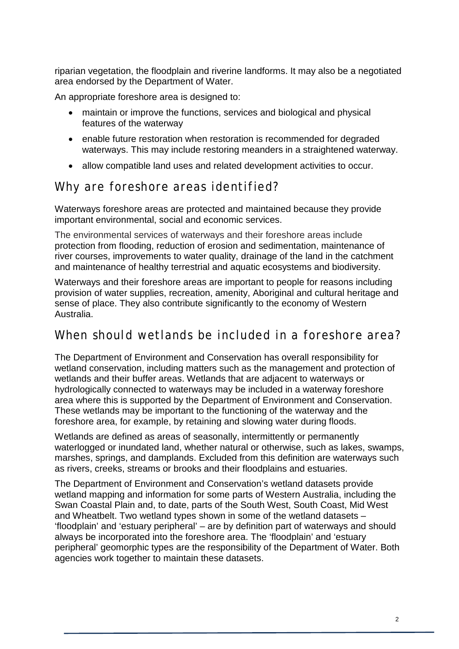riparian vegetation, the floodplain and riverine landforms. It may also be a negotiated area endorsed by the Department of Water.

An appropriate foreshore area is designed to:

- maintain or improve the functions, services and biological and physical features of the waterway
- enable future restoration when restoration is recommended for degraded waterways. This may include restoring meanders in a straightened waterway.
- allow compatible land uses and related development activities to occur.

## Why are foreshore areas identified?

Waterways foreshore areas are protected and maintained because they provide important environmental, social and economic services.

The environmental services of waterways and their foreshore areas include protection from flooding, reduction of erosion and sedimentation, maintenance of river courses, improvements to water quality, drainage of the land in the catchment and maintenance of healthy terrestrial and aquatic ecosystems and biodiversity.

Waterways and their foreshore areas are important to people for reasons including provision of water supplies, recreation, amenity, Aboriginal and cultural heritage and sense of place. They also contribute significantly to the economy of Western Australia.

## When should wetlands be included in a foreshore area?

The Department of Environment and Conservation has overall responsibility for wetland conservation, including matters such as the management and protection of wetlands and their buffer areas. Wetlands that are adjacent to waterways or hydrologically connected to waterways may be included in a waterway foreshore area where this is supported by the Department of Environment and Conservation. These wetlands may be important to the functioning of the waterway and the foreshore area, for example, by retaining and slowing water during floods.

Wetlands are defined as areas of seasonally, intermittently or permanently waterlogged or inundated land, whether natural or otherwise, such as lakes, swamps, marshes, springs, and damplands. Excluded from this definition are waterways such as rivers, creeks, streams or brooks and their floodplains and estuaries.

The Department of Environment and Conservation's wetland datasets provide wetland mapping and information for some parts of Western Australia, including the Swan Coastal Plain and, to date, parts of the South West, South Coast, Mid West and Wheatbelt. Two wetland types shown in some of the wetland datasets – 'floodplain' and 'estuary peripheral' – are by definition part of waterways and should always be incorporated into the foreshore area. The 'floodplain' and 'estuary peripheral' geomorphic types are the responsibility of the Department of Water. Both agencies work together to maintain these datasets.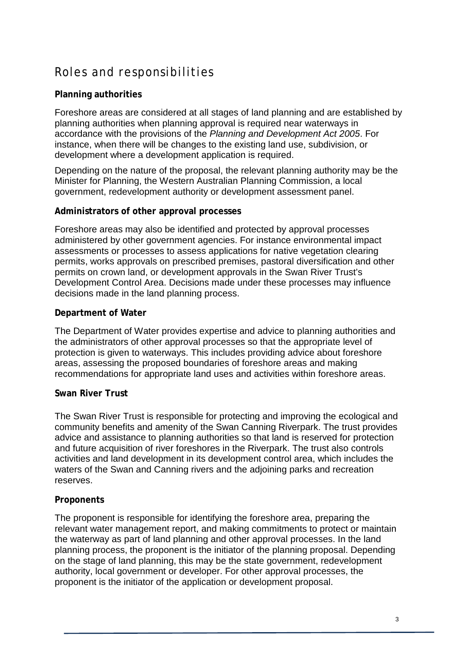# Roles and responsibilities

#### **Planning authorities**

Foreshore areas are considered at all stages of land planning and are established by planning authorities when planning approval is required near waterways in accordance with the provisions of the *Planning and Development Act 2005*. For instance, when there will be changes to the existing land use, subdivision, or development where a development application is required.

Depending on the nature of the proposal, the relevant planning authority may be the Minister for Planning, the Western Australian Planning Commission, a local government, redevelopment authority or development assessment panel.

#### **Administrators of other approval processes**

Foreshore areas may also be identified and protected by approval processes administered by other government agencies. For instance environmental impact assessments or processes to assess applications for native vegetation clearing permits, works approvals on prescribed premises, pastoral diversification and other permits on crown land, or development approvals in the Swan River Trust's Development Control Area. Decisions made under these processes may influence decisions made in the land planning process.

#### **Department of Water**

The Department of Water provides expertise and advice to planning authorities and the administrators of other approval processes so that the appropriate level of protection is given to waterways. This includes providing advice about foreshore areas, assessing the proposed boundaries of foreshore areas and making recommendations for appropriate land uses and activities within foreshore areas.

#### **Swan River Trust**

The Swan River Trust is responsible for protecting and improving the ecological and community benefits and amenity of the Swan Canning Riverpark. The trust provides advice and assistance to planning authorities so that land is reserved for protection and future acquisition of river foreshores in the Riverpark. The trust also controls activities and land development in its development control area, which includes the waters of the Swan and Canning rivers and the adjoining parks and recreation reserves.

#### **Proponents**

The proponent is responsible for identifying the foreshore area, preparing the relevant water management report, and making commitments to protect or maintain the waterway as part of land planning and other approval processes. In the land planning process, the proponent is the initiator of the planning proposal. Depending on the stage of land planning, this may be the state government, redevelopment authority, local government or developer. For other approval processes, the proponent is the initiator of the application or development proposal.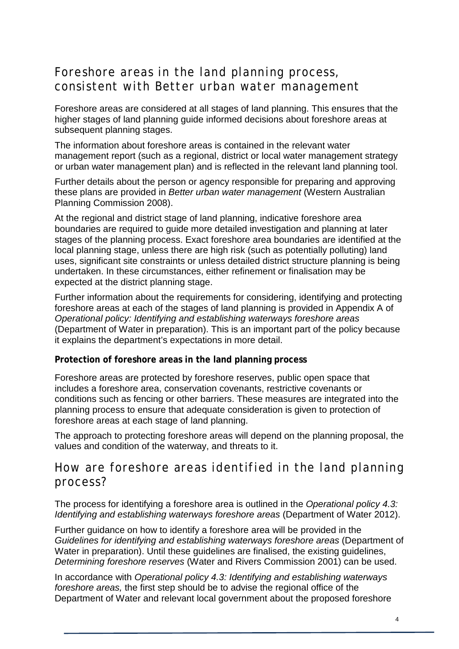## Foreshore areas in the land planning process, consistent with *Better urban water management*

Foreshore areas are considered at all stages of land planning. This ensures that the higher stages of land planning guide informed decisions about foreshore areas at subsequent planning stages.

The information about foreshore areas is contained in the relevant water management report (such as a regional, district or local water management strategy or urban water management plan) and is reflected in the relevant land planning tool.

Further details about the person or agency responsible for preparing and approving these plans are provided in *Better urban water management* (Western Australian Planning Commission 2008).

At the regional and district stage of land planning, indicative foreshore area boundaries are required to guide more detailed investigation and planning at later stages of the planning process. Exact foreshore area boundaries are identified at the local planning stage, unless there are high risk (such as potentially polluting) land uses, significant site constraints or unless detailed district structure planning is being undertaken. In these circumstances, either refinement or finalisation may be expected at the district planning stage.

Further information about the requirements for considering, identifying and protecting foreshore areas at each of the stages of land planning is provided in Appendix A of *Operational policy: Identifying and establishing waterways foreshore areas* (Department of Water in preparation). This is an important part of the policy because it explains the department's expectations in more detail.

#### **Protection of foreshore areas in the land planning process**

Foreshore areas are protected by foreshore reserves, public open space that includes a foreshore area, conservation covenants, restrictive covenants or conditions such as fencing or other barriers. These measures are integrated into the planning process to ensure that adequate consideration is given to protection of foreshore areas at each stage of land planning.

The approach to protecting foreshore areas will depend on the planning proposal, the values and condition of the waterway, and threats to it.

## How are foreshore areas identified in the land planning process?

The process for identifying a foreshore area is outlined in the *Operational policy 4.3: Identifying and establishing waterways foreshore areas* (Department of Water 2012).

Further guidance on how to identify a foreshore area will be provided in the *Guidelines for identifying and establishing waterways foreshore areas* (Department of Water in preparation). Until these guidelines are finalised, the existing guidelines, *Determining foreshore reserves* (Water and Rivers Commission 2001) can be used.

In accordance with *Operational policy 4.3: Identifying and establishing waterways foreshore areas,* the first step should be to advise the regional office of the Department of Water and relevant local government about the proposed foreshore